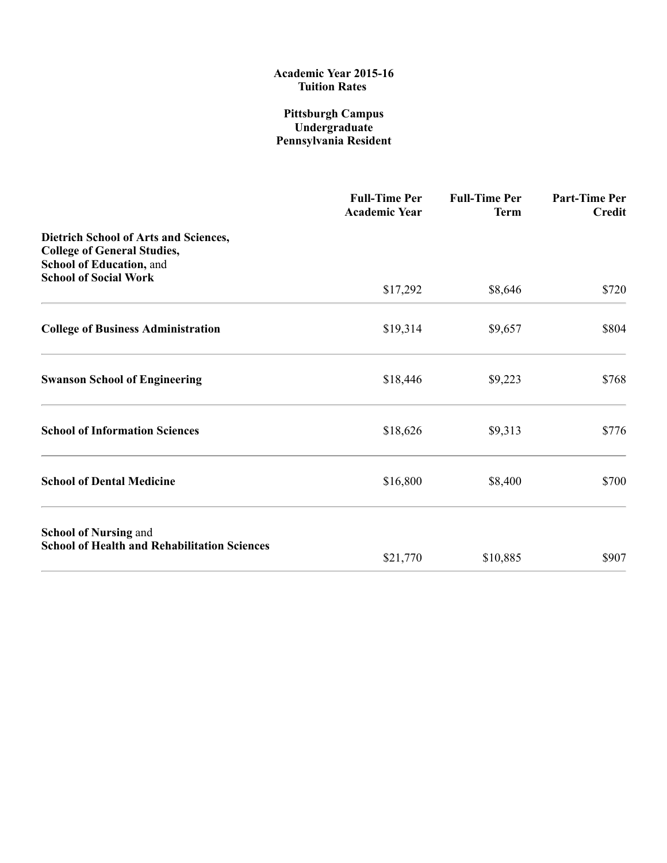### Pittsburgh Campus Undergraduate Pennsylvania Resident

|                                                                                                                | <b>Full-Time Per</b><br><b>Academic Year</b> | <b>Full-Time Per</b><br><b>Term</b> | <b>Part-Time Per</b><br><b>Credit</b> |
|----------------------------------------------------------------------------------------------------------------|----------------------------------------------|-------------------------------------|---------------------------------------|
| <b>Dietrich School of Arts and Sciences,</b><br><b>College of General Studies,</b><br>School of Education, and |                                              |                                     |                                       |
| <b>School of Social Work</b>                                                                                   | \$17,292                                     | \$8,646                             | \$720                                 |
| <b>College of Business Administration</b>                                                                      | \$19,314                                     | \$9,657                             | \$804                                 |
| <b>Swanson School of Engineering</b>                                                                           | \$18,446                                     | \$9,223                             | \$768                                 |
| <b>School of Information Sciences</b>                                                                          | \$18,626                                     | \$9,313                             | \$776                                 |
| <b>School of Dental Medicine</b>                                                                               | \$16,800                                     | \$8,400                             | \$700                                 |
| <b>School of Nursing and</b><br><b>School of Health and Rehabilitation Sciences</b>                            |                                              |                                     |                                       |
|                                                                                                                | \$21,770                                     | \$10,885                            | \$907                                 |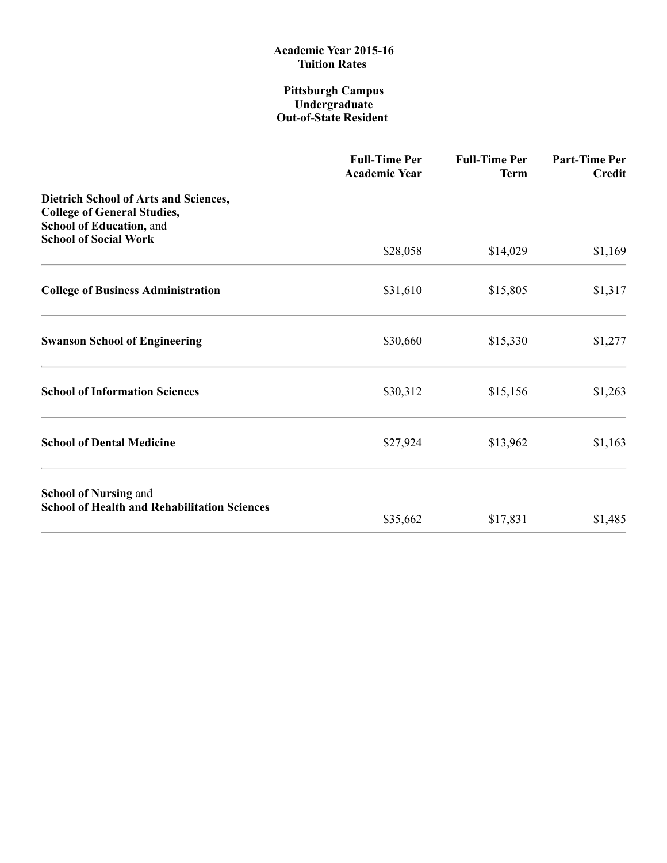#### Pittsburgh Campus Undergraduate Out-of-State Resident

|                                                                                                         | <b>Full-Time Per</b><br><b>Academic Year</b> | <b>Full-Time Per</b><br><b>Term</b> | <b>Part-Time Per</b><br><b>Credit</b> |
|---------------------------------------------------------------------------------------------------------|----------------------------------------------|-------------------------------------|---------------------------------------|
| Dietrich School of Arts and Sciences,<br><b>College of General Studies,</b><br>School of Education, and |                                              |                                     |                                       |
| <b>School of Social Work</b>                                                                            | \$28,058                                     | \$14,029                            | \$1,169                               |
| <b>College of Business Administration</b>                                                               | \$31,610                                     | \$15,805                            | \$1,317                               |
| <b>Swanson School of Engineering</b>                                                                    | \$30,660                                     | \$15,330                            | \$1,277                               |
| <b>School of Information Sciences</b>                                                                   | \$30,312                                     | \$15,156                            | \$1,263                               |
| <b>School of Dental Medicine</b>                                                                        | \$27,924                                     | \$13,962                            | \$1,163                               |
| <b>School of Nursing and</b><br><b>School of Health and Rehabilitation Sciences</b>                     |                                              |                                     |                                       |
|                                                                                                         | \$35,662                                     | \$17,831                            | \$1,485                               |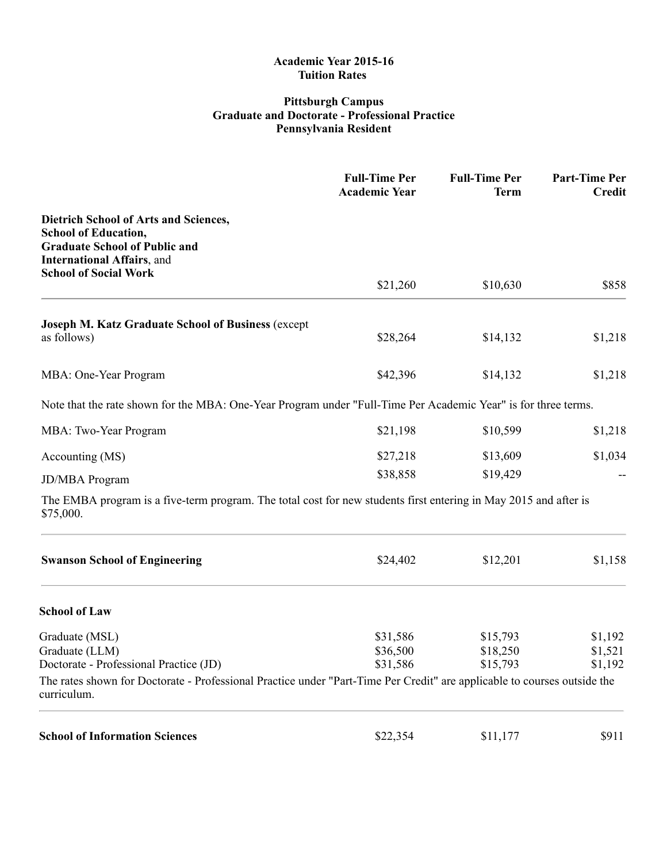### Pittsburgh Campus Graduate and Doctorate Professional Practice Pennsylvania Resident

|                                                                                                                                                                                           | <b>Full-Time Per</b><br><b>Academic Year</b> | <b>Full-Time Per</b><br><b>Term</b> | <b>Part-Time Per</b><br><b>Credit</b> |
|-------------------------------------------------------------------------------------------------------------------------------------------------------------------------------------------|----------------------------------------------|-------------------------------------|---------------------------------------|
| <b>Dietrich School of Arts and Sciences,</b><br><b>School of Education,</b><br><b>Graduate School of Public and</b><br><b>International Affairs</b> , and<br><b>School of Social Work</b> |                                              |                                     |                                       |
|                                                                                                                                                                                           | \$21,260                                     | \$10,630                            | \$858                                 |
| <b>Joseph M. Katz Graduate School of Business (except</b><br>as follows)                                                                                                                  | \$28,264                                     | \$14,132                            | \$1,218                               |
| MBA: One-Year Program                                                                                                                                                                     | \$42,396                                     | \$14,132                            | \$1,218                               |
| Note that the rate shown for the MBA: One-Year Program under "Full-Time Per Academic Year" is for three terms.                                                                            |                                              |                                     |                                       |
| MBA: Two-Year Program                                                                                                                                                                     | \$21,198                                     | \$10,599                            | \$1,218                               |
| Accounting (MS)                                                                                                                                                                           | \$27,218                                     | \$13,609                            | \$1,034                               |
| <b>JD/MBA</b> Program                                                                                                                                                                     | \$38,858                                     | \$19,429                            |                                       |
| The EMBA program is a five-term program. The total cost for new students first entering in May 2015 and after is<br>\$75,000.                                                             |                                              |                                     |                                       |
| <b>Swanson School of Engineering</b>                                                                                                                                                      | \$24,402                                     | \$12,201                            | \$1,158                               |
| <b>School of Law</b>                                                                                                                                                                      |                                              |                                     |                                       |
| Graduate (MSL)                                                                                                                                                                            | \$31,586                                     | \$15,793                            | \$1,192                               |
| Graduate (LLM)<br>Doctorate - Professional Practice (JD)                                                                                                                                  | \$36,500<br>\$31,586                         | \$18,250<br>\$15,793                | \$1,521<br>\$1,192                    |
| The rates shown for Doctorate - Professional Practice under "Part-Time Per Credit" are applicable to courses outside the<br>curriculum.                                                   |                                              |                                     |                                       |
| <b>School of Information Sciences</b>                                                                                                                                                     | \$22,354                                     | \$11,177                            | \$911                                 |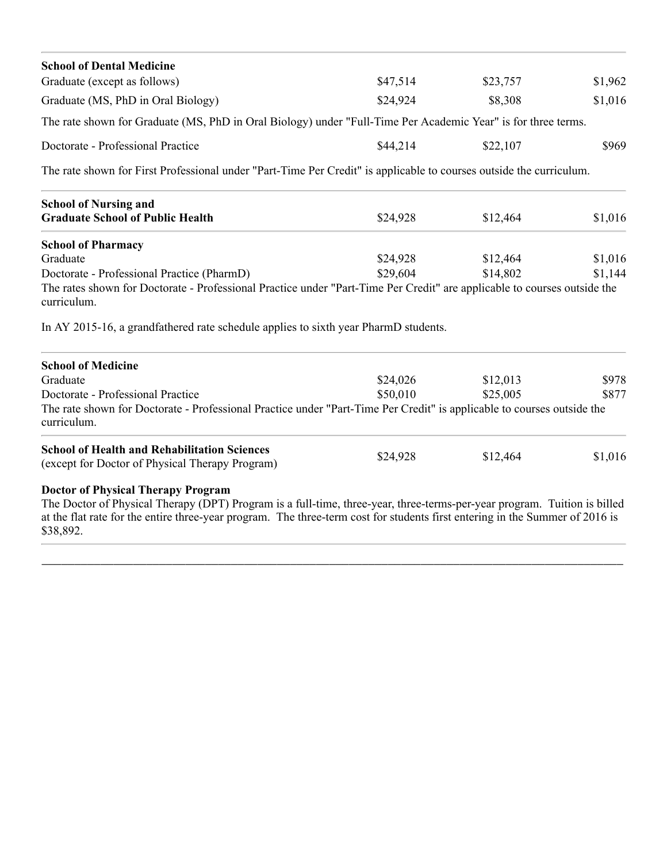| \$47,514 | \$23,757                                                                                        | \$1,962                                                                                                                                                                                                                                                                                                                                                                                                                                                                                                |
|----------|-------------------------------------------------------------------------------------------------|--------------------------------------------------------------------------------------------------------------------------------------------------------------------------------------------------------------------------------------------------------------------------------------------------------------------------------------------------------------------------------------------------------------------------------------------------------------------------------------------------------|
| \$24,924 | \$8,308                                                                                         | \$1,016                                                                                                                                                                                                                                                                                                                                                                                                                                                                                                |
|          |                                                                                                 |                                                                                                                                                                                                                                                                                                                                                                                                                                                                                                        |
| \$44,214 | \$22,107                                                                                        | \$969                                                                                                                                                                                                                                                                                                                                                                                                                                                                                                  |
|          |                                                                                                 |                                                                                                                                                                                                                                                                                                                                                                                                                                                                                                        |
|          |                                                                                                 |                                                                                                                                                                                                                                                                                                                                                                                                                                                                                                        |
|          |                                                                                                 | \$1,016                                                                                                                                                                                                                                                                                                                                                                                                                                                                                                |
|          |                                                                                                 |                                                                                                                                                                                                                                                                                                                                                                                                                                                                                                        |
| \$24,928 | \$12,464                                                                                        | \$1,016                                                                                                                                                                                                                                                                                                                                                                                                                                                                                                |
| \$29,604 | \$14,802                                                                                        | \$1,144                                                                                                                                                                                                                                                                                                                                                                                                                                                                                                |
|          |                                                                                                 |                                                                                                                                                                                                                                                                                                                                                                                                                                                                                                        |
|          |                                                                                                 |                                                                                                                                                                                                                                                                                                                                                                                                                                                                                                        |
|          |                                                                                                 |                                                                                                                                                                                                                                                                                                                                                                                                                                                                                                        |
| \$24,026 | \$12,013                                                                                        | \$978                                                                                                                                                                                                                                                                                                                                                                                                                                                                                                  |
| \$50,010 | \$25,005                                                                                        | \$877                                                                                                                                                                                                                                                                                                                                                                                                                                                                                                  |
|          |                                                                                                 |                                                                                                                                                                                                                                                                                                                                                                                                                                                                                                        |
| \$24,928 | \$12,464                                                                                        | \$1,016                                                                                                                                                                                                                                                                                                                                                                                                                                                                                                |
|          |                                                                                                 |                                                                                                                                                                                                                                                                                                                                                                                                                                                                                                        |
|          | \$24,928<br>In AY 2015-16, a grandfathered rate schedule applies to sixth year PharmD students. | The rate shown for Graduate (MS, PhD in Oral Biology) under "Full-Time Per Academic Year" is for three terms.<br>The rate shown for First Professional under "Part-Time Per Credit" is applicable to courses outside the curriculum.<br>\$12,464<br>The rates shown for Doctorate - Professional Practice under "Part-Time Per Credit" are applicable to courses outside the<br>The rate shown for Doctorate - Professional Practice under "Part-Time Per Credit" is applicable to courses outside the |

The Doctor of Physical Therapy (DPT) Program is a full-time, three-year, three-terms-per-year program. Tuition is billed at the flat rate for the entire three-year program. The three-term cost for students first entering in the Summer of 2016 is \$38,892.

\_\_\_\_\_\_\_\_\_\_\_\_\_\_\_\_\_\_\_\_\_\_\_\_\_\_\_\_\_\_\_\_\_\_\_\_\_\_\_\_\_\_\_\_\_\_\_\_\_\_\_\_\_\_\_\_\_\_\_\_\_\_\_\_\_\_\_\_\_\_\_\_\_\_\_\_\_\_\_\_\_\_\_\_\_\_\_\_\_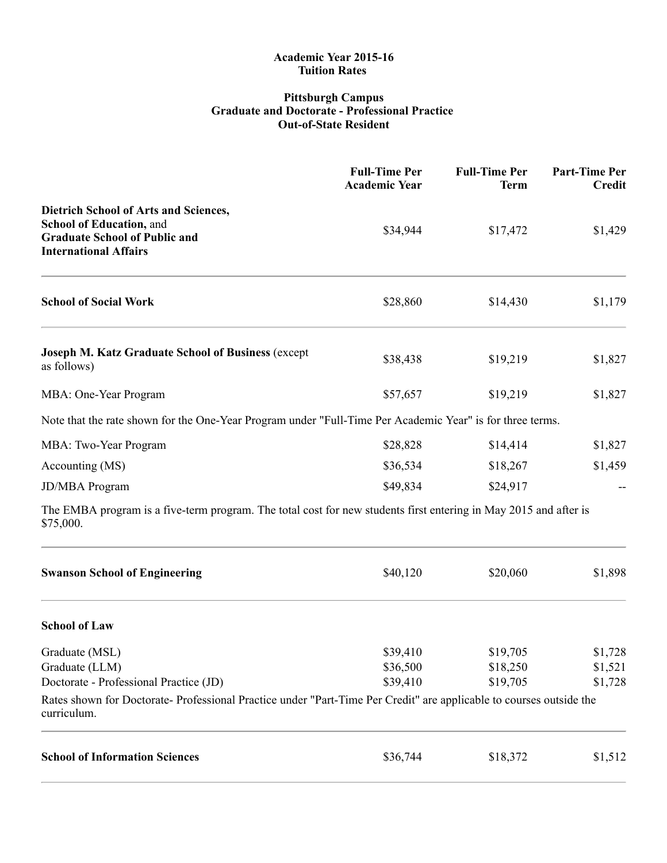#### Pittsburgh Campus Graduate and Doctorate Professional Practice Out-of-State Resident

|                                                                                                                                                  | <b>Full-Time Per</b><br><b>Academic Year</b> | <b>Full-Time Per</b><br><b>Term</b> | Part-Time Per<br><b>Credit</b> |
|--------------------------------------------------------------------------------------------------------------------------------------------------|----------------------------------------------|-------------------------------------|--------------------------------|
| <b>Dietrich School of Arts and Sciences,</b><br>School of Education, and<br><b>Graduate School of Public and</b><br><b>International Affairs</b> | \$34,944                                     | \$17,472                            | \$1,429                        |
| <b>School of Social Work</b>                                                                                                                     | \$28,860                                     | \$14,430                            | \$1,179                        |
| <b>Joseph M. Katz Graduate School of Business (except</b><br>as follows)                                                                         | \$38,438                                     | \$19,219                            | \$1,827                        |
| MBA: One-Year Program                                                                                                                            | \$57,657                                     | \$19,219                            | \$1,827                        |
| Note that the rate shown for the One-Year Program under "Full-Time Per Academic Year" is for three terms.                                        |                                              |                                     |                                |
| MBA: Two-Year Program                                                                                                                            | \$28,828                                     | \$14,414                            | \$1,827                        |
| Accounting (MS)                                                                                                                                  | \$36,534                                     | \$18,267                            | \$1,459                        |
| JD/MBA Program                                                                                                                                   | \$49,834                                     | \$24,917                            |                                |
| The EMBA program is a five-term program. The total cost for new students first entering in May 2015 and after is<br>\$75,000.                    |                                              |                                     |                                |
| <b>Swanson School of Engineering</b>                                                                                                             | \$40,120                                     | \$20,060                            | \$1,898                        |
| <b>School of Law</b>                                                                                                                             |                                              |                                     |                                |
| Graduate (MSL)                                                                                                                                   | \$39,410                                     | \$19,705                            | \$1,728                        |
| Graduate (LLM)                                                                                                                                   | \$36,500                                     | \$18,250                            | \$1,521                        |
| Doctorate - Professional Practice (JD)                                                                                                           | \$39,410                                     | \$19,705                            | \$1,728                        |
| Rates shown for Doctorate-Professional Practice under "Part-Time Per Credit" are applicable to courses outside the<br>curriculum.                |                                              |                                     |                                |
| <b>School of Information Sciences</b>                                                                                                            | \$36,744                                     | \$18,372                            | \$1,512                        |